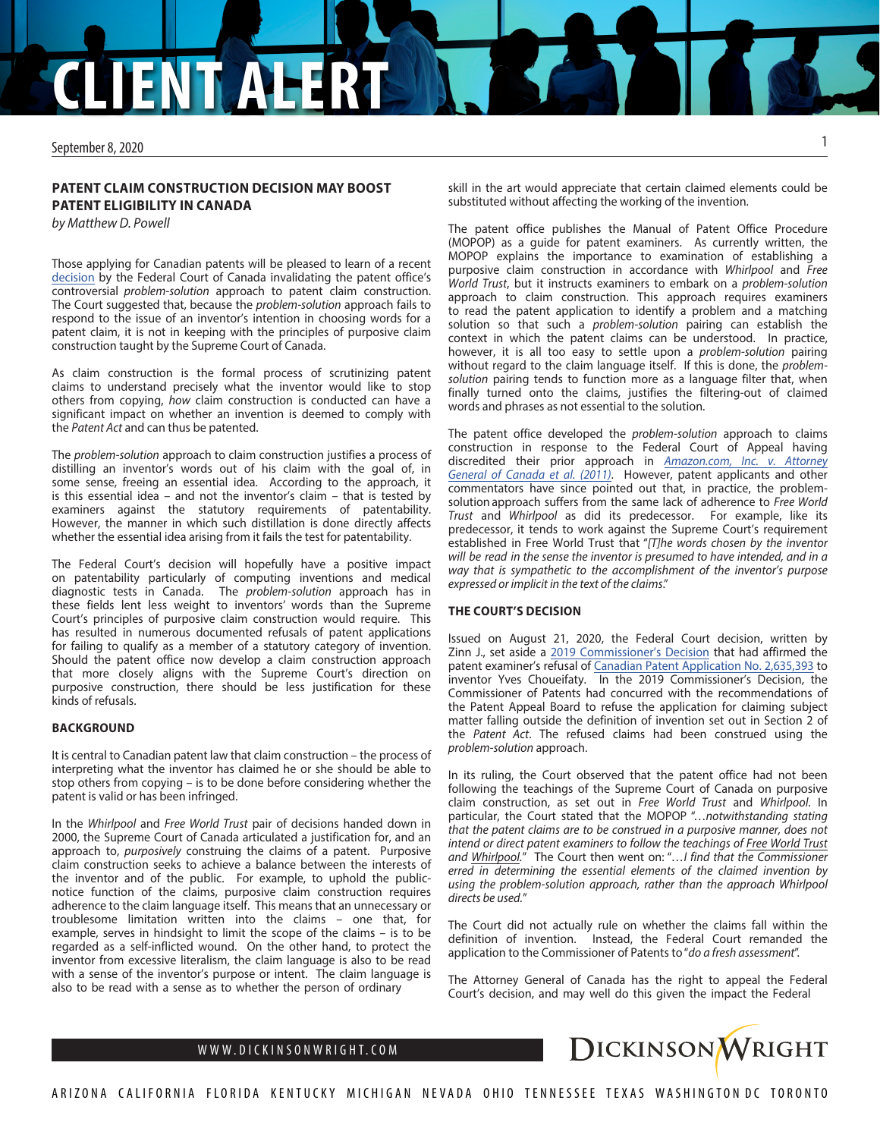# **CLIENT ALERT**

September 8, 2020

## **PATENT CLAIM CONSTRUCTION DECISION MAY BOOST PATENT ELIGIBILITY IN CANADA**

*by Matthew D. Powell*

Those applying for Canadian patents will be pleased to learn of a recent [decision](https://decisions.fct-cf.gc.ca/fc-cf/decisions/en/item/484418/index.do?s=09) by the Federal Court of Canada invalidating the patent office's controversial *problem-solution* approach to patent claim construction. The Court suggested that, because the *problem-solution* approach fails to respond to the issue of an inventor's intention in choosing words for a patent claim, it is not in keeping with the principles of purposive claim construction taught by the Supreme Court of Canada.

As claim construction is the formal process of scrutinizing patent claims to understand precisely what the inventor would like to stop others from copying, *how* claim construction is conducted can have a significant impact on whether an invention is deemed to comply with the *Patent Act* and can thus be patented.

The *problem-solution* approach to claim construction justifies a process of distilling an inventor's words out of his claim with the goal of, in some sense, freeing an essential idea. According to the approach, it is this essential idea – and not the inventor's claim – that is tested by examiners against the statutory requirements of patentability. However, the manner in which such distillation is done directly affects whether the essential idea arising from it fails the test for patentability.

The Federal Court's decision will hopefully have a positive impact on patentability particularly of computing inventions and medical diagnostic tests in Canada. The *problem-solution* approach has in these fields lent less weight to inventors' words than the Supreme Court's principles of purposive claim construction would require. This has resulted in numerous documented refusals of patent applications for failing to qualify as a member of a statutory category of invention. Should the patent office now develop a claim construction approach that more closely aligns with the Supreme Court's direction on purposive construction, there should be less justification for these kinds of refusals.

### **BACKGROUND**

It is central to Canadian patent law that claim construction – the process of interpreting what the inventor has claimed he or she should be able to stop others from copying – is to be done before considering whether the patent is valid or has been infringed.

In the *Whirlpool* and *Free World Trust* pair of decisions handed down in 2000, the Supreme Court of Canada articulated a justification for, and an approach to, *purposively* construing the claims of a patent. Purposive claim construction seeks to achieve a balance between the interests of the inventor and of the public. For example, to uphold the publicnotice function of the claims, purposive claim construction requires adherence to the claim language itself. This means that an unnecessary or troublesome limitation written into the claims – one that, for example, serves in hindsight to limit the scope of the claims – is to be regarded as a self-inflicted wound. On the other hand, to protect the inventor from excessive literalism, the claim language is also to be read with a sense of the inventor's purpose or intent. The claim language is also to be read with a sense as to whether the person of ordinary

skill in the art would appreciate that certain claimed elements could be substituted without affecting the working of the invention.

The patent office publishes the Manual of Patent Office Procedure (MOPOP) as a guide for patent examiners. As currently written, the MOPOP explains the importance to examination of establishing a purposive claim construction in accordance with *Whirlpool* and *Free World Trust*, but it instructs examiners to embark on a *problem-solution* approach to claim construction. This approach requires examiners to read the patent application to identify a problem and a matching solution so that such a *problem-solution* pairing can establish the context in which the patent claims can be understood. In practice, however, it is all too easy to settle upon a *problem-solution* pairing without regard to the claim language itself. If this is done, the *problemsolution* pairing tends to function more as a language filter that, when finally turned onto the claims, justifies the filtering-out of claimed words and phrases as not essential to the solution.

The patent office developed the *problem-solution* approach to claims construction in response to the Federal Court of Appeal having discredited their prior approach in *[Amazon.com, Inc. v. Attorney](https://decisions.fca-caf.gc.ca/fca-caf/decisions/en/item/37344/index.do?q=amazon.com) [General of Canada et al. \(2011\)](https://decisions.fca-caf.gc.ca/fca-caf/decisions/en/item/37344/index.do?q=amazon.com)*. However, patent applicants and other commentators have since pointed out that, in practice, the problemsolution approach suffers from the same lack of adherence to *Free World Trust* and *Whirlpool* as did its predecessor. For example, like its predecessor, it tends to work against the Supreme Court's requirement established in Free World Trust that "*[T]he words chosen by the inventor will be read in the sense the inventor is presumed to have intended, and in a way that is sympathetic to the accomplishment of the inventor's purpose expressed or implicit in the text of the claims*."

### **THE COURT'S DECISION**

Issued on August 21, 2020, the Federal Court decision, written by Zinn J., set aside a [2019 Commissioner's Decision](https://brevets-decisions-patents.opic-cipo.gc.ca/pab-cab/p/en/item/467998/index.do) that had affirmed the patent examiner's refusal of [Canadian Patent Application No. 2,635,393](https://www.ic.gc.ca/opic-cipo/cpd/eng/patent/2635393/summary.html?type=number_search&tabs1Index=tabs1_1) to inventor Yves Choueifaty. In the 2019 Commissioner's Decision, the Commissioner of Patents had concurred with the recommendations of the Patent Appeal Board to refuse the application for claiming subject matter falling outside the definition of invention set out in Section 2 of the *Patent Act*. The refused claims had been construed using the *problem-solution* approach.

In its ruling, the Court observed that the patent office had not been following the teachings of the Supreme Court of Canada on purposive claim construction, as set out in *Free World Trust* and *Whirlpool*. In particular, the Court stated that the MOPOP "…*notwithstanding stating that the patent claims are to be construed in a purposive manner, does not intend or direct patent examiners to follow the teachings of Free World Trust and Whirlpool.*" The Court then went on: "*…I find that the Commissioner erred in determining the essential elements of the claimed invention by using the problem-solution approach, rather than the approach Whirlpool directs be used.*"

The Court did not actually rule on whether the claims fall within the definition of invention. Instead, the Federal Court remanded the application to the Commissioner of Patents to "*do a fresh assessment*".

The Attorney General of Canada has the right to appeal the Federal Court's decision, and may well do this given the impact the Federal



1